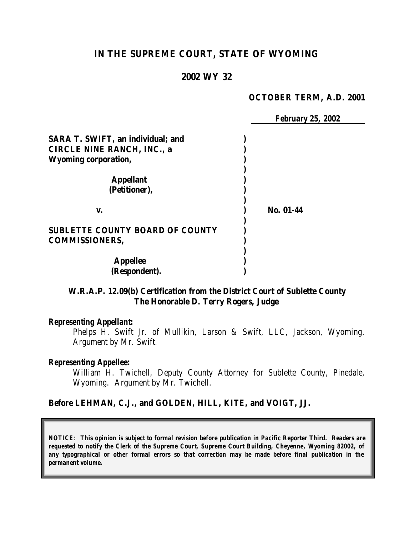# **IN THE SUPREME COURT, STATE OF WYOMING**

## **2002 WY 32**

#### **OCTOBER TERM, A.D. 2001**

|                                          | <b>February 25, 2002</b> |
|------------------------------------------|--------------------------|
| <b>SARA T. SWIFT, an individual; and</b> |                          |
| <b>CIRCLE NINE RANCH, INC., a</b>        |                          |
| <b>Wyoming corporation,</b>              |                          |
| <b>Appellant</b><br>(Petitioner),        |                          |
| V.                                       | No. 01-44                |
| <b>SUBLETTE COUNTY BOARD OF COUNTY</b>   |                          |
| <b>COMMISSIONERS,</b>                    |                          |
|                                          |                          |
| <b>Appellee</b>                          |                          |
| (Respondent).                            |                          |

## **W.R.A.P. 12.09(b) Certification from the District Court of Sublette County The Honorable D. Terry Rogers, Judge**

### *Representing Appellant:*

Phelps H. Swift Jr. of Mullikin, Larson & Swift, LLC, Jackson, Wyoming. Argument by Mr. Swift.

### *Representing Appellee:*

William H. Twichell, Deputy County Attorney for Sublette County, Pinedale, Wyoming. Argument by Mr. Twichell.

### **Before LEHMAN, C.J., and GOLDEN, HILL, KITE, and VOIGT, JJ.**

*NOTICE: This opinion is subject to formal revision before publication in Pacific Reporter Third. Readers are requested to notify the Clerk of the Supreme Court, Supreme Court Building, Cheyenne, Wyoming 82002, of any typographical or other formal errors so that correction may be made before final publication in the permanent volume.*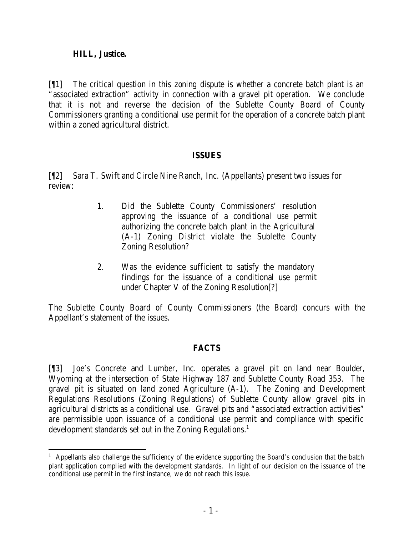### **HILL, Justice.**

[¶1] The critical question in this zoning dispute is whether a concrete batch plant is an "associated extraction" activity in connection with a gravel pit operation. We conclude that it is not and reverse the decision of the Sublette County Board of County Commissioners granting a conditional use permit for the operation of a concrete batch plant within a zoned agricultural district.

## **ISSUES**

[¶2] Sara T. Swift and Circle Nine Ranch, Inc. (Appellants) present two issues for review:

- 1. Did the Sublette County Commissioners' resolution approving the issuance of a conditional use permit authorizing the concrete batch plant in the Agricultural (A-1) Zoning District violate the Sublette County Zoning Resolution?
- 2. Was the evidence sufficient to satisfy the mandatory findings for the issuance of a conditional use permit under Chapter V of the Zoning Resolution[?]

The Sublette County Board of County Commissioners (the Board) concurs with the Appellant's statement of the issues.

## **FACTS**

[¶3] Joe's Concrete and Lumber, Inc. operates a gravel pit on land near Boulder, Wyoming at the intersection of State Highway 187 and Sublette County Road 353. The gravel pit is situated on land zoned Agriculture (A-1). The Zoning and Development Regulations Resolutions (Zoning Regulations) of Sublette County allow gravel pits in agricultural districts as a conditional use. Gravel pits and "associated extraction activities" are permissible upon issuance of a conditional use permit and compliance with specific development standards set out in the Zoning Regulations.<sup>1</sup>

 <sup>1</sup> Appellants also challenge the sufficiency of the evidence supporting the Board's conclusion that the batch plant application complied with the development standards. In light of our decision on the issuance of the conditional use permit in the first instance, we do not reach this issue.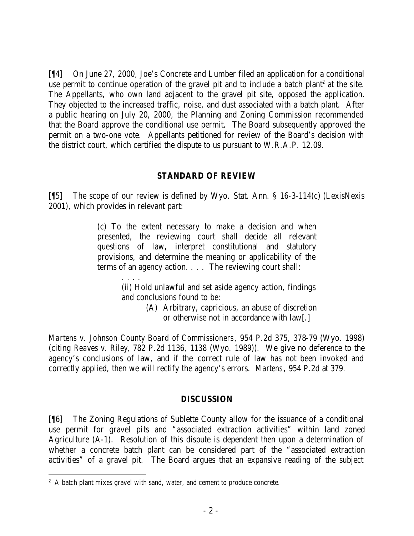[¶4] On June 27, 2000, Joe's Concrete and Lumber filed an application for a conditional use permit to continue operation of the gravel pit and to include a batch plant<sup>2</sup> at the site. The Appellants, who own land adjacent to the gravel pit site, opposed the application. They objected to the increased traffic, noise, and dust associated with a batch plant. After a public hearing on July 20, 2000, the Planning and Zoning Commission recommended that the Board approve the conditional use permit. The Board subsequently approved the permit on a two-one vote. Appellants petitioned for review of the Board's decision with the district court, which certified the dispute to us pursuant to W.R.A.P. 12.09.

## **STANDARD OF REVIEW**

[¶5] The scope of our review is defined by Wyo. Stat. Ann. § 16-3-114(c) (LexisNexis 2001), which provides in relevant part:

> (c) To the extent necessary to make a decision and when presented, the reviewing court shall decide all relevant questions of law, interpret constitutional and statutory provisions, and determine the meaning or applicability of the terms of an agency action. . . . The reviewing court shall:

> > . . . . (ii) Hold unlawful and set aside agency action, findings and conclusions found to be:

> > > (A) Arbitrary, capricious, an abuse of discretion or otherwise not in accordance with law[.]

*Martens v. Johnson County Board of Commissioners*, 954 P.2d 375, 378-79 (Wyo. 1998) (citing *Reaves v. Riley*, 782 P.2d 1136, 1138 (Wyo. 1989)). We give no deference to the agency's conclusions of law, and if the correct rule of law has not been invoked and correctly applied, then we will rectify the agency's errors. *Martens*, 954 P.2d at 379.

## **DISCUSSION**

[¶6] The Zoning Regulations of Sublette County allow for the issuance of a conditional use permit for gravel pits and "associated extraction activities" within land zoned Agriculture (A-1). Resolution of this dispute is dependent then upon a determination of whether a concrete batch plant can be considered part of the "associated extraction activities" of a gravel pit. The Board argues that an expansive reading of the subject

 $2$  A batch plant mixes gravel with sand, water, and cement to produce concrete.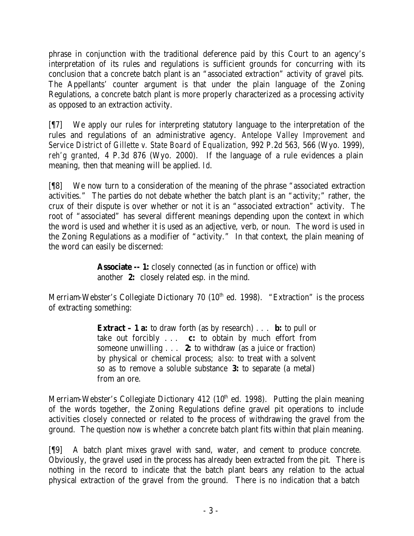phrase in conjunction with the traditional deference paid by this Court to an agency's interpretation of its rules and regulations is sufficient grounds for concurring with its conclusion that a concrete batch plant is an "associated extraction" activity of gravel pits. The Appellants' counter argument is that under the plain language of the Zoning Regulations, a concrete batch plant is more properly characterized as a processing activity as opposed to an extraction activity.

[¶7] We apply our rules for interpreting statutory language to the interpretation of the rules and regulations of an administrative agency. *Antelope Valley Improvement and Service District of Gillette v. State Board of Equalization*, 992 P.2d 563, 566 (Wyo. 1999), *reh'g granted,* 4 P.3d 876 (Wyo. 2000). If the language of a rule evidences a plain meaning, then that meaning will be applied. *Id*.

[¶8] We now turn to a consideration of the meaning of the phrase "associated extraction activities." The parties do not debate whether the batch plant is an "activity;" rather, the crux of their dispute is over whether or not it is an "associated extraction" activity. The root of "associated" has several different meanings depending upon the context in which the word is used and whether it is used as an adjective, verb, or noun. The word is used in the Zoning Regulations as a modifier of "activity." In that context, the plain meaning of the word can easily be discerned:

> **Associate -- 1:** closely connected (as in function or office) with another **2:** closely related esp. in the mind.

Merriam-Webster's Collegiate Dictionary 70  $(10<sup>th</sup>$  ed. 1998). "Extraction" is the process of extracting something:

> **Extract – 1 a:** to draw forth (as by research) . . . **b:** to pull or take out forcibly . . . **c:** to obtain by much effort from someone unwilling . . . **2:** to withdraw (as a juice or fraction) by physical or chemical process; *also*: to treat with a solvent so as to remove a soluble substance **3:** to separate (a metal) from an ore.

Merriam-Webster's Collegiate Dictionary 412 ( $10<sup>th</sup>$  ed. 1998). Putting the plain meaning of the words together, the Zoning Regulations define gravel pit operations to include activities closely connected or related to the process of withdrawing the gravel from the ground. The question now is whether a concrete batch plant fits within that plain meaning.

[¶9] A batch plant mixes gravel with sand, water, and cement to produce concrete. Obviously, the gravel used in the process has already been extracted from the pit. There is nothing in the record to indicate that the batch plant bears any relation to the actual physical extraction of the gravel from the ground. There is no indication that a batch